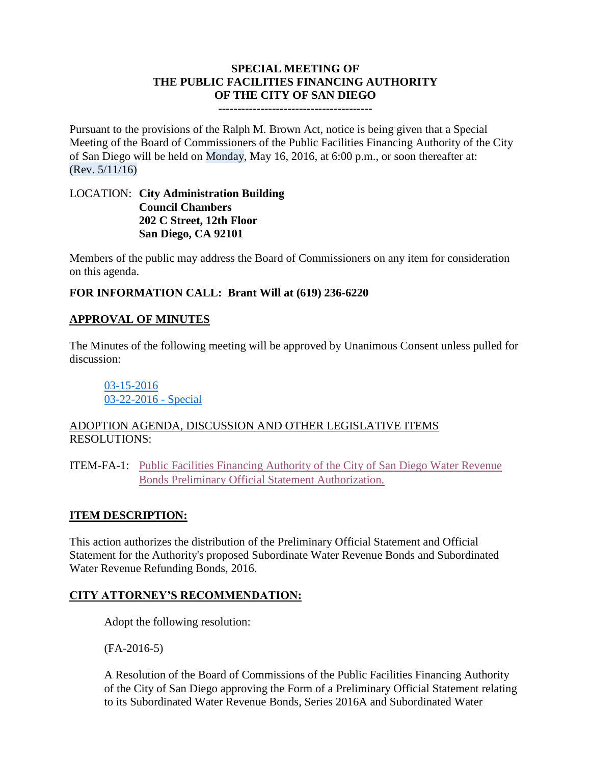### **SPECIAL MEETING OF THE PUBLIC FACILITIES FINANCING AUTHORITY OF THE CITY OF SAN DIEGO**

**----------------------------------------**

Pursuant to the provisions of the Ralph M. Brown Act, notice is being given that a Special Meeting of the Board of Commissioners of the Public Facilities Financing Authority of the City of San Diego will be held on Monday, May 16, 2016, at 6:00 p.m., or soon thereafter at: (Rev. 5/11/16)

#### LOCATION: **City Administration Building Council Chambers 202 C Street, 12th Floor San Diego, CA 92101**

Members of the public may address the Board of Commissioners on any item for consideration on this agenda.

# **FOR INFORMATION CALL: Brant Will at (619) 236-6220**

# **APPROVAL OF MINUTES**

The Minutes of the following meeting will be approved by Unanimous Consent unless pulled for discussion:

[03-15-2016](http://www.sandiego.gov/sites/default/files/03-15-16-minutes.pdf) [03-22-2016 -](http://www.sandiego.gov/sites/default/files/03-22-16-minutes.pdf) Special

### ADOPTION AGENDA, DISCUSSION AND OTHER LEGISLATIVE ITEMS RESOLUTIONS:

ITEM-FA-1: Public [Facilities Financing Authority of the City of San Diego Water Revenue](http://www.sandiego.gov/sites/default/files/fa-1_exhibits_2.pdf)  [Bonds Preliminary Official Statement Authorization.](http://www.sandiego.gov/sites/default/files/fa-1_exhibits_2.pdf)

# **ITEM DESCRIPTION:**

This action authorizes the distribution of the Preliminary Official Statement and Official Statement for the Authority's proposed Subordinate Water Revenue Bonds and Subordinated Water Revenue Refunding Bonds, 2016.

# **CITY ATTORNEY'S RECOMMENDATION:**

Adopt the following resolution:

(FA-2016-5)

A Resolution of the Board of Commissions of the Public Facilities Financing Authority of the City of San Diego approving the Form of a Preliminary Official Statement relating to its Subordinated Water Revenue Bonds, Series 2016A and Subordinated Water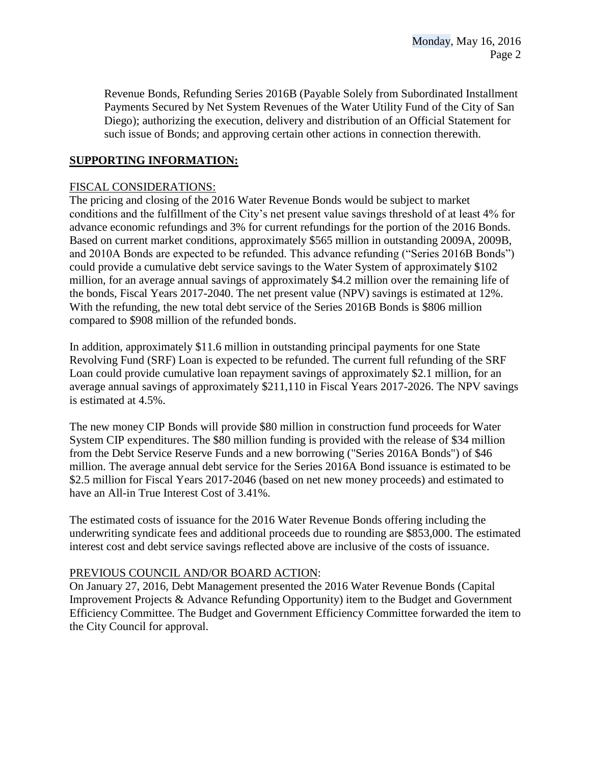Revenue Bonds, Refunding Series 2016B (Payable Solely from Subordinated Installment Payments Secured by Net System Revenues of the Water Utility Fund of the City of San Diego); authorizing the execution, delivery and distribution of an Official Statement for such issue of Bonds; and approving certain other actions in connection therewith.

### **SUPPORTING INFORMATION:**

#### FISCAL CONSIDERATIONS:

The pricing and closing of the 2016 Water Revenue Bonds would be subject to market conditions and the fulfillment of the City's net present value savings threshold of at least 4% for advance economic refundings and 3% for current refundings for the portion of the 2016 Bonds. Based on current market conditions, approximately \$565 million in outstanding 2009A, 2009B, and 2010A Bonds are expected to be refunded. This advance refunding ("Series 2016B Bonds") could provide a cumulative debt service savings to the Water System of approximately \$102 million, for an average annual savings of approximately \$4.2 million over the remaining life of the bonds, Fiscal Years 2017-2040. The net present value (NPV) savings is estimated at 12%. With the refunding, the new total debt service of the Series 2016B Bonds is \$806 million compared to \$908 million of the refunded bonds.

In addition, approximately \$11.6 million in outstanding principal payments for one State Revolving Fund (SRF) Loan is expected to be refunded. The current full refunding of the SRF Loan could provide cumulative loan repayment savings of approximately \$2.1 million, for an average annual savings of approximately \$211,110 in Fiscal Years 2017-2026. The NPV savings is estimated at 4.5%.

The new money CIP Bonds will provide \$80 million in construction fund proceeds for Water System CIP expenditures. The \$80 million funding is provided with the release of \$34 million from the Debt Service Reserve Funds and a new borrowing ("Series 2016A Bonds") of \$46 million. The average annual debt service for the Series 2016A Bond issuance is estimated to be \$2.5 million for Fiscal Years 2017-2046 (based on net new money proceeds) and estimated to have an All-in True Interest Cost of 3.41%.

The estimated costs of issuance for the 2016 Water Revenue Bonds offering including the underwriting syndicate fees and additional proceeds due to rounding are \$853,000. The estimated interest cost and debt service savings reflected above are inclusive of the costs of issuance.

#### PREVIOUS COUNCIL AND/OR BOARD ACTION:

On January 27, 2016, Debt Management presented the 2016 Water Revenue Bonds (Capital Improvement Projects & Advance Refunding Opportunity) item to the Budget and Government Efficiency Committee. The Budget and Government Efficiency Committee forwarded the item to the City Council for approval.